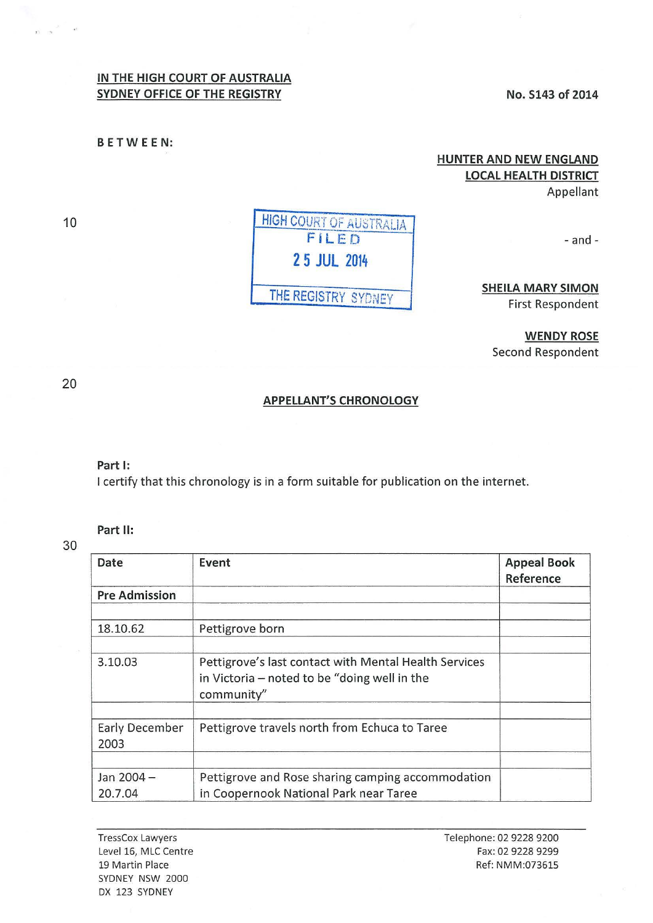## **IN THE HIGH COURT OF AUSTRALIA**  SYDNEY OFFICE OF THE REGISTRY **No. S143 of 2014**

**BETWEEN:** 

**HUNTER AND NEW ENGLAND LOCAL HEALTH DISTRICT**  Appellant

 $-$ and $-$ 

# **SHEILA MARY SIMON**  First Respondent

**WENDY ROSE**  Second Respondent

## **APPELLANT'S CHRONOLOGY**

#### **Part 1:**

I certify that this chronology is in a form suitable for publication on the internet.

## **Part II:**

30

| Date                          | Event                                                                                                               | <b>Appeal Book</b><br>Reference |
|-------------------------------|---------------------------------------------------------------------------------------------------------------------|---------------------------------|
| <b>Pre Admission</b>          |                                                                                                                     |                                 |
| 18.10.62                      | Pettigrove born                                                                                                     |                                 |
| 3.10.03                       | Pettigrove's last contact with Mental Health Services<br>in Victoria – noted to be "doing well in the<br>community" |                                 |
| <b>Early December</b><br>2003 | Pettigrove travels north from Echuca to Taree                                                                       |                                 |
| Jan 2004-<br>20.7.04          | Pettigrove and Rose sharing camping accommodation<br>in Coopernook National Park near Taree                         |                                 |

# **HIGH COURT OF AUSTRALIA** FILED **2 5 JUL 2014**  THE REGISTRY SYDNEY

20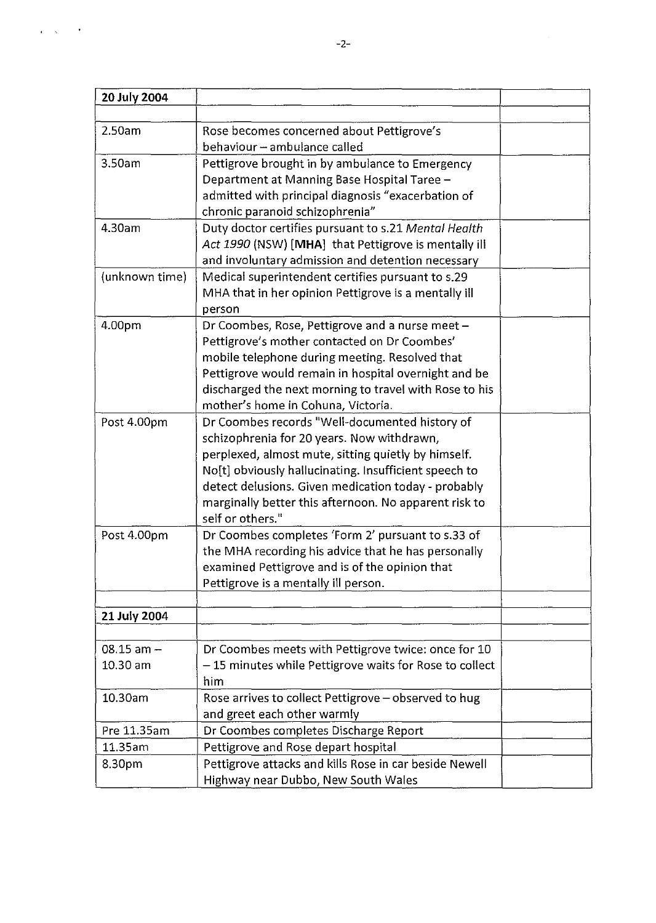| 20 July 2004   |                                                        |  |
|----------------|--------------------------------------------------------|--|
|                |                                                        |  |
| 2.50am         | Rose becomes concerned about Pettigrove's              |  |
|                | behaviour - ambulance called                           |  |
| 3.50am         | Pettigrove brought in by ambulance to Emergency        |  |
|                | Department at Manning Base Hospital Taree -            |  |
|                | admitted with principal diagnosis "exacerbation of     |  |
|                | chronic paranoid schizophrenia"                        |  |
| 4.30am         | Duty doctor certifies pursuant to s.21 Mental Health   |  |
|                | Act 1990 (NSW) [MHA] that Pettigrove is mentally ill   |  |
|                | and involuntary admission and detention necessary      |  |
| (unknown time) | Medical superintendent certifies pursuant to s.29      |  |
|                | MHA that in her opinion Pettigrove is a mentally ill   |  |
|                | person                                                 |  |
| 4.00pm         | Dr Coombes, Rose, Pettigrove and a nurse meet -        |  |
|                | Pettigrove's mother contacted on Dr Coombes'           |  |
|                | mobile telephone during meeting. Resolved that         |  |
|                | Pettigrove would remain in hospital overnight and be   |  |
|                | discharged the next morning to travel with Rose to his |  |
|                | mother's home in Cohuna, Victoria.                     |  |
| Post 4.00pm    | Dr Coombes records "Well-documented history of         |  |
|                | schizophrenia for 20 years. Now withdrawn,             |  |
|                | perplexed, almost mute, sitting quietly by himself.    |  |
|                | No[t] obviously hallucinating. Insufficient speech to  |  |
|                | detect delusions. Given medication today - probably    |  |
|                | marginally better this afternoon. No apparent risk to  |  |
|                | self or others."                                       |  |
| Post 4.00pm    | Dr Coombes completes 'Form 2' pursuant to s.33 of      |  |
|                | the MHA recording his advice that he has personally    |  |
|                | examined Pettigrove and is of the opinion that         |  |
|                | Pettigrove is a mentally ill person.                   |  |
|                |                                                        |  |
| 21 July 2004   |                                                        |  |
|                |                                                        |  |
| $08.15$ am $-$ | Dr Coombes meets with Pettigrove twice: once for 10    |  |
| $10.30$ am     | -15 minutes while Pettigrove waits for Rose to collect |  |
|                | him                                                    |  |
| 10.30am        | Rose arrives to collect Pettigrove - observed to hug   |  |
|                | and greet each other warmly                            |  |
| Pre 11.35am    | Dr Coombes completes Discharge Report                  |  |
| 11.35am        | Pettigrove and Rose depart hospital                    |  |
| 8.30pm         | Pettigrove attacks and kills Rose in car beside Newell |  |
|                | Highway near Dubbo, New South Wales                    |  |

 $\hat{\mathbf{r}} = \hat{\mathbf{x}}$ 

 $\ddot{\phantom{1}}$